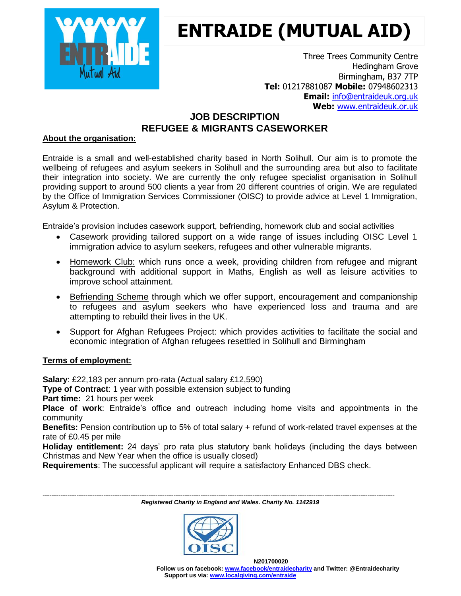

# **ENTRAIDE (MUTUAL AID)**

Three Trees Community Centre Hedingham Grove Birmingham, B37 7TP **Tel:** 01217881087 **Mobile:** 07948602313 **Email:** [info@entraideuk.org.uk](mailto:info@entraideuk.org.uk) **Web:** [www.entraideuk.or.uk](http://www.entraideuk.or.uk/)

## **JOB DESCRIPTION REFUGEE & MIGRANTS CASEWORKER**

### **About the organisation:**

Entraide is a small and well-established charity based in North Solihull. Our aim is to promote the wellbeing of refugees and asylum seekers in Solihull and the surrounding area but also to facilitate their integration into society. We are currently the only refugee specialist organisation in Solihull providing support to around 500 clients a year from 20 different countries of origin. We are regulated by the Office of Immigration Services Commissioner (OISC) to provide advice at Level 1 Immigration, Asylum & Protection.

Entraide's provision includes casework support, befriending, homework club and social activities

- Casework providing tailored support on a wide range of issues including OISC Level 1 immigration advice to asylum seekers, refugees and other vulnerable migrants.
- Homework Club: which runs once a week, providing children from refugee and migrant background with additional support in Maths, English as well as leisure activities to improve school attainment.
- Befriending Scheme through which we offer support, encouragement and companionship to refugees and asylum seekers who have experienced loss and trauma and are attempting to rebuild their lives in the UK.
- Support for Afghan Refugees Project: which provides activities to facilitate the social and economic integration of Afghan refugees resettled in Solihull and Birmingham

#### **Terms of employment:**

**Salary**: £22,183 per annum pro-rata (Actual salary £12,590) **Type of Contract**: 1 year with possible extension subject to funding **Part time:** 21 hours per week **Place of work**: Entraide's office and outreach including home visits and appointments in the community **Benefits:** Pension contribution up to 5% of total salary + refund of work-related travel expenses at the rate of £0.45 per mile **Holiday entitlement:** 24 days' pro rata plus statutory bank holidays (including the days between Christmas and New Year when the office is usually closed)

**Requirements**: The successful applicant will require a satisfactory Enhanced DBS check.

#### *------------------------------------------------------------------------------------------------------------------------------------------------------------ Registered Charity in England and Wales. Charity No. 1142919*



**N201700020 Follow us on facebook: [www.facebook/entraidecharity](http://www.facebook/entraidecharity) and Twitter: @Entraidecharity Support us via: [www.localgiving.com/entraide](http://www.localgiving.com/entraide)**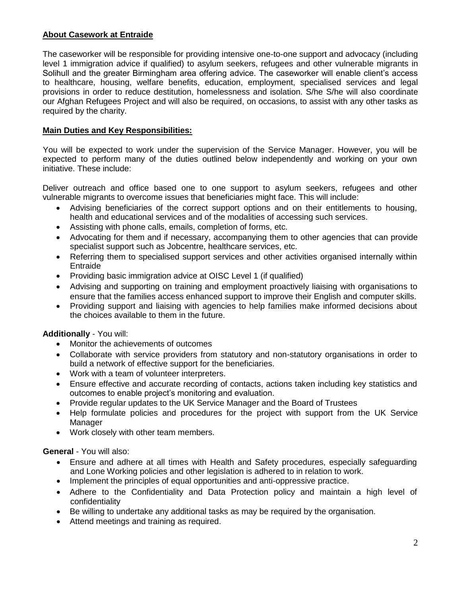#### **About Casework at Entraide**

The caseworker will be responsible for providing intensive one-to-one support and advocacy (including level 1 immigration advice if qualified) to asylum seekers, refugees and other vulnerable migrants in Solihull and the greater Birmingham area offering advice. The caseworker will enable client's access to healthcare, housing, welfare benefits, education, employment, specialised services and legal provisions in order to reduce destitution, homelessness and isolation. S/he S/he will also coordinate our Afghan Refugees Project and will also be required, on occasions, to assist with any other tasks as required by the charity.

#### **Main Duties and Key Responsibilities:**

You will be expected to work under the supervision of the Service Manager. However, you will be expected to perform many of the duties outlined below independently and working on your own initiative. These include:

Deliver outreach and office based one to one support to asylum seekers, refugees and other vulnerable migrants to overcome issues that beneficiaries might face. This will include:

- Advising beneficiaries of the correct support options and on their entitlements to housing, health and educational services and of the modalities of accessing such services.
- Assisting with phone calls, emails, completion of forms, etc.
- Advocating for them and if necessary, accompanying them to other agencies that can provide specialist support such as Jobcentre, healthcare services, etc.
- Referring them to specialised support services and other activities organised internally within Entraide
- Providing basic immigration advice at OISC Level 1 (if qualified)
- Advising and supporting on training and employment proactively liaising with organisations to ensure that the families access enhanced support to improve their English and computer skills.
- Providing support and liaising with agencies to help families make informed decisions about the choices available to them in the future.

#### **Additionally** - You will:

- Monitor the achievements of outcomes
- Collaborate with service providers from statutory and non-statutory organisations in order to build a network of effective support for the beneficiaries.
- Work with a team of volunteer interpreters.
- Ensure effective and accurate recording of contacts, actions taken including key statistics and outcomes to enable project's monitoring and evaluation.
- Provide regular updates to the UK Service Manager and the Board of Trustees
- Help formulate policies and procedures for the project with support from the UK Service Manager
- Work closely with other team members.

#### **General** - You will also:

- Ensure and adhere at all times with Health and Safety procedures, especially safeguarding and Lone Working policies and other legislation is adhered to in relation to work.
- Implement the principles of equal opportunities and anti-oppressive practice.
- Adhere to the Confidentiality and Data Protection policy and maintain a high level of confidentiality
- Be willing to undertake any additional tasks as may be required by the organisation.
- Attend meetings and training as required.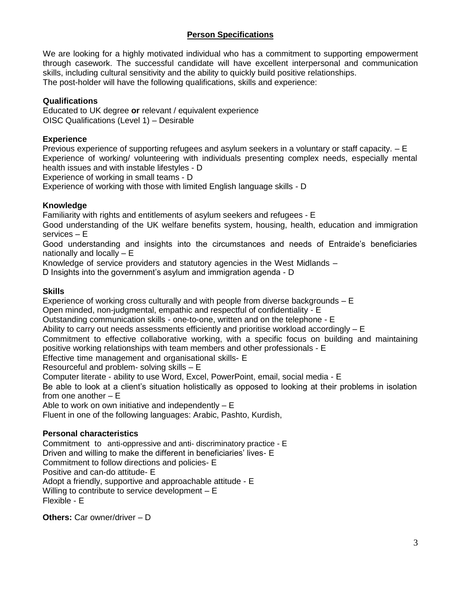#### **Person Specifications**

We are looking for a highly motivated individual who has a commitment to supporting empowerment through casework. The successful candidate will have excellent interpersonal and communication skills, including cultural sensitivity and the ability to quickly build positive relationships. The post-holder will have the following qualifications, skills and experience:

#### **Qualifications**

Educated to UK degree **or** relevant / equivalent experience OISC Qualifications (Level 1) – Desirable

#### **Experience**

Previous experience of supporting refugees and asylum seekers in a voluntary or staff capacity. – E Experience of working/ volunteering with individuals presenting complex needs, especially mental health issues and with instable lifestyles - D

Experience of working in small teams - D

Experience of working with those with limited English language skills - D

#### **Knowledge**

Familiarity with rights and entitlements of asylum seekers and refugees - E

Good understanding of the UK welfare benefits system, housing, health, education and immigration services – E

Good understanding and insights into the circumstances and needs of Entraide's beneficiaries nationally and locally – E

Knowledge of service providers and statutory agencies in the West Midlands –

D Insights into the government's asylum and immigration agenda - D

#### **Skills**

Experience of working cross culturally and with people from diverse backgrounds – E

Open minded, non-judgmental, empathic and respectful of confidentiality - E

Outstanding communication skills - one-to-one, written and on the telephone - E

Ability to carry out needs assessments efficiently and prioritise workload accordingly – E

Commitment to effective collaborative working, with a specific focus on building and maintaining positive working relationships with team members and other professionals - E

Effective time management and organisational skills- E

Resourceful and problem- solving skills – E

Computer literate - ability to use Word, Excel, PowerPoint, email, social media - E

Be able to look at a client's situation holistically as opposed to looking at their problems in isolation from one another – E

Able to work on own initiative and independently  $- E$ 

Fluent in one of the following languages: Arabic, Pashto, Kurdish,

#### **Personal characteristics**

Commitment to anti-oppressive and anti- discriminatory practice - E Driven and willing to make the different in beneficiaries' lives- E Commitment to follow directions and policies- E Positive and can-do attitude- E Adopt a friendly, supportive and approachable attitude - E Willing to contribute to service development – E Flexible - E

**Others:** Car owner/driver – D